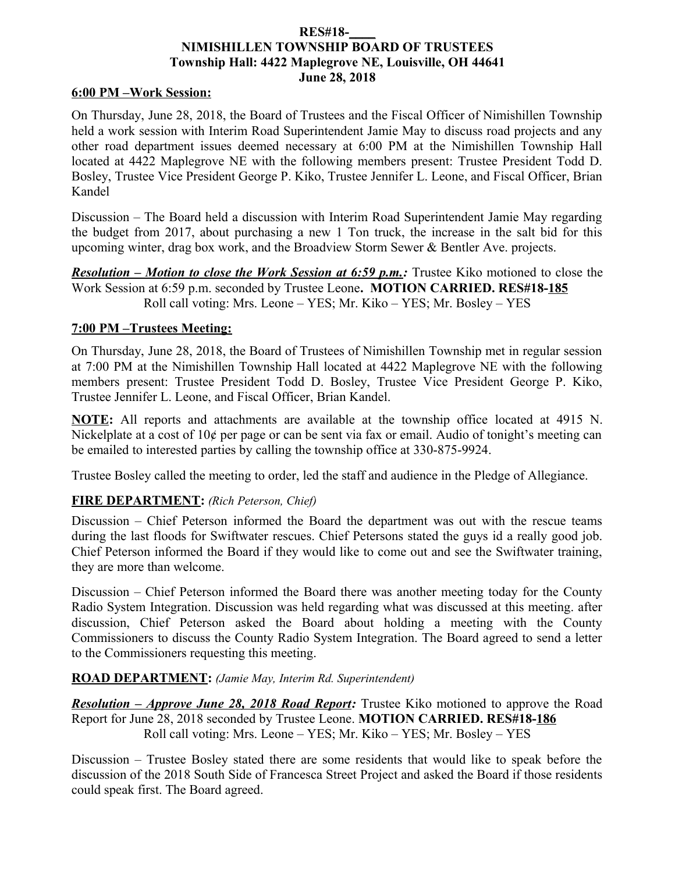### **RES#18-\_\_\_\_ NIMISHILLEN TOWNSHIP BOARD OF TRUSTEES Township Hall: 4422 Maplegrove NE, Louisville, OH 44641 June 28, 2018**

#### **6:00 PM –Work Session:**

On Thursday, June 28, 2018, the Board of Trustees and the Fiscal Officer of Nimishillen Township held a work session with Interim Road Superintendent Jamie May to discuss road projects and any other road department issues deemed necessary at 6:00 PM at the Nimishillen Township Hall located at 4422 Maplegrove NE with the following members present: Trustee President Todd D. Bosley, Trustee Vice President George P. Kiko, Trustee Jennifer L. Leone, and Fiscal Officer, Brian Kandel

Discussion – The Board held a discussion with Interim Road Superintendent Jamie May regarding the budget from 2017, about purchasing a new 1 Ton truck, the increase in the salt bid for this upcoming winter, drag box work, and the Broadview Storm Sewer & Bentler Ave. projects.

*Resolution – Motion to close the Work Session at 6:59 p.m.*: Trustee Kiko motioned to close the Work Session at 6:59 p.m. seconded by Trustee Leone**. MOTION CARRIED. RES#18-185** Roll call voting: Mrs. Leone – YES; Mr. Kiko – YES; Mr. Bosley – YES

### **7:00 PM –Trustees Meeting:**

On Thursday, June 28, 2018, the Board of Trustees of Nimishillen Township met in regular session at 7:00 PM at the Nimishillen Township Hall located at 4422 Maplegrove NE with the following members present: Trustee President Todd D. Bosley, Trustee Vice President George P. Kiko, Trustee Jennifer L. Leone, and Fiscal Officer, Brian Kandel.

**NOTE:** All reports and attachments are available at the township office located at 4915 N. Nickelplate at a cost of 10¢ per page or can be sent via fax or email. Audio of tonight's meeting can be emailed to interested parties by calling the township office at 330-875-9924.

Trustee Bosley called the meeting to order, led the staff and audience in the Pledge of Allegiance.

### **FIRE DEPARTMENT:** *(Rich Peterson, Chief)*

Discussion – Chief Peterson informed the Board the department was out with the rescue teams during the last floods for Swiftwater rescues. Chief Petersons stated the guys id a really good job. Chief Peterson informed the Board if they would like to come out and see the Swiftwater training, they are more than welcome.

Discussion – Chief Peterson informed the Board there was another meeting today for the County Radio System Integration. Discussion was held regarding what was discussed at this meeting. after discussion, Chief Peterson asked the Board about holding a meeting with the County Commissioners to discuss the County Radio System Integration. The Board agreed to send a letter to the Commissioners requesting this meeting.

### **ROAD DEPARTMENT:** *(Jamie May, Interim Rd. Superintendent)*

*Resolution – Approve June 28, 2018 Road Report:* Trustee Kiko motioned to approve the Road Report for June 28, 2018 seconded by Trustee Leone. **MOTION CARRIED. RES#18-186** Roll call voting: Mrs. Leone – YES; Mr. Kiko – YES; Mr. Bosley – YES

Discussion – Trustee Bosley stated there are some residents that would like to speak before the discussion of the 2018 South Side of Francesca Street Project and asked the Board if those residents could speak first. The Board agreed.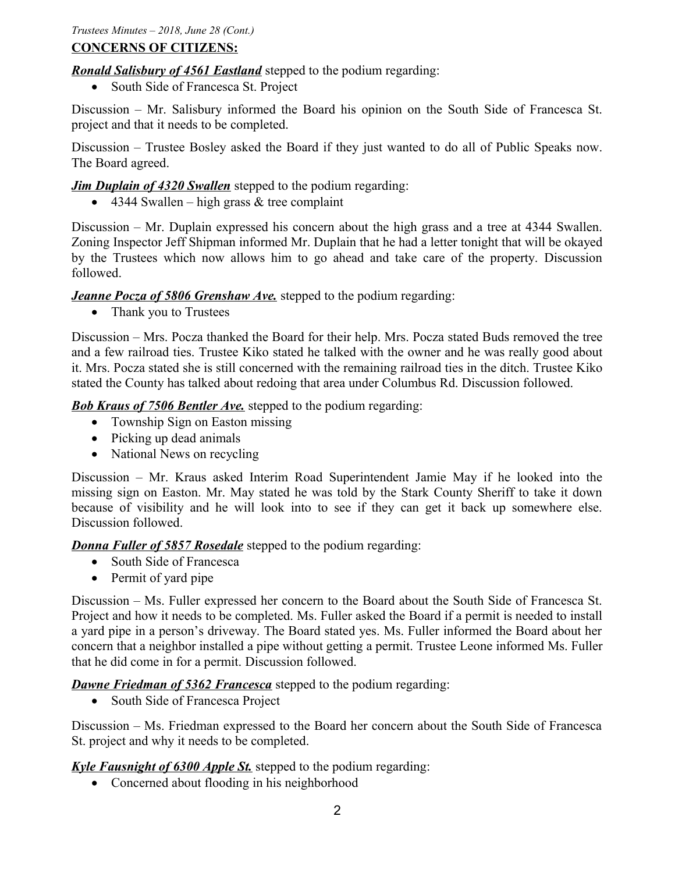## **CONCERNS OF CITIZENS:**

*Ronald Salisbury of 4561 Eastland* stepped to the podium regarding:

• South Side of Francesca St. Project

Discussion – Mr. Salisbury informed the Board his opinion on the South Side of Francesca St. project and that it needs to be completed.

Discussion – Trustee Bosley asked the Board if they just wanted to do all of Public Speaks now. The Board agreed.

*Jim Duplain of 4320 Swallen* stepped to the podium regarding:

 $\bullet$  4344 Swallen – high grass & tree complaint

Discussion – Mr. Duplain expressed his concern about the high grass and a tree at 4344 Swallen. Zoning Inspector Jeff Shipman informed Mr. Duplain that he had a letter tonight that will be okayed by the Trustees which now allows him to go ahead and take care of the property. Discussion followed.

## *Jeanne Pocza of 5806 Grenshaw Ave.* stepped to the podium regarding:

• Thank you to Trustees

Discussion – Mrs. Pocza thanked the Board for their help. Mrs. Pocza stated Buds removed the tree and a few railroad ties. Trustee Kiko stated he talked with the owner and he was really good about it. Mrs. Pocza stated she is still concerned with the remaining railroad ties in the ditch. Trustee Kiko stated the County has talked about redoing that area under Columbus Rd. Discussion followed.

**Bob Kraus of 7506 Bentler Ave.** stepped to the podium regarding:

- Township Sign on Easton missing
- Picking up dead animals
- National News on recycling

Discussion – Mr. Kraus asked Interim Road Superintendent Jamie May if he looked into the missing sign on Easton. Mr. May stated he was told by the Stark County Sheriff to take it down because of visibility and he will look into to see if they can get it back up somewhere else. Discussion followed.

*Donna Fuller of 5857 Rosedale* stepped to the podium regarding:

- South Side of Francesca
- Permit of yard pipe

Discussion – Ms. Fuller expressed her concern to the Board about the South Side of Francesca St. Project and how it needs to be completed. Ms. Fuller asked the Board if a permit is needed to install a yard pipe in a person's driveway. The Board stated yes. Ms. Fuller informed the Board about her concern that a neighbor installed a pipe without getting a permit. Trustee Leone informed Ms. Fuller that he did come in for a permit. Discussion followed.

*Dawne Friedman of 5362 Francesca* stepped to the podium regarding:

• South Side of Francesca Project

Discussion – Ms. Friedman expressed to the Board her concern about the South Side of Francesca St. project and why it needs to be completed.

# *Kyle Fausnight of 6300 Apple St.* stepped to the podium regarding:

• Concerned about flooding in his neighborhood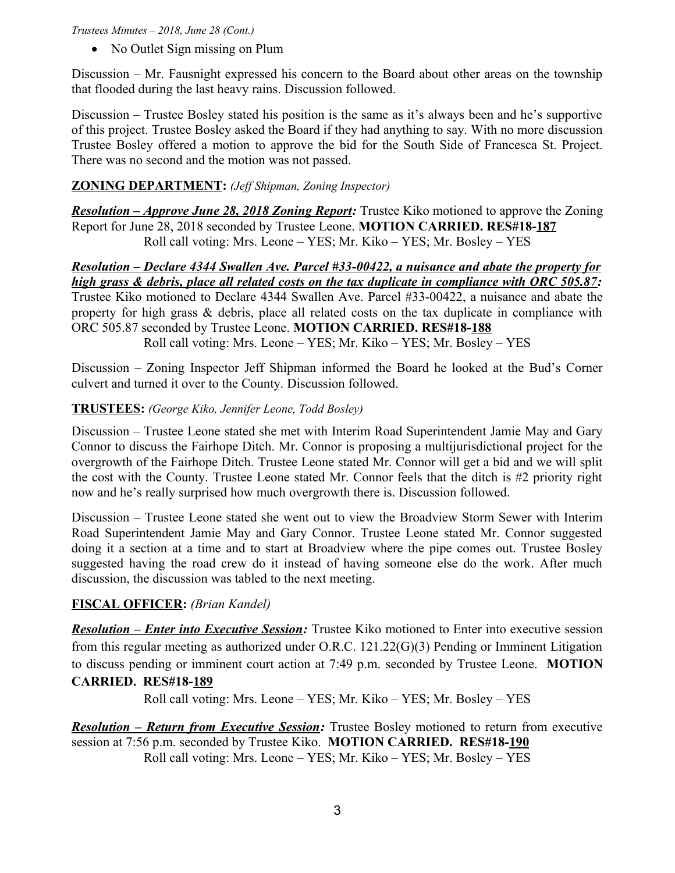### *Trustees Minutes – 2018, June 28 (Cont.)*

• No Outlet Sign missing on Plum

Discussion – Mr. Fausnight expressed his concern to the Board about other areas on the township that flooded during the last heavy rains. Discussion followed.

Discussion – Trustee Bosley stated his position is the same as it's always been and he's supportive of this project. Trustee Bosley asked the Board if they had anything to say. With no more discussion Trustee Bosley offered a motion to approve the bid for the South Side of Francesca St. Project. There was no second and the motion was not passed.

## **ZONING DEPARTMENT:** *(Jeff Shipman, Zoning Inspector)*

*Resolution – Approve June 28, 2018 Zoning Report:* Trustee Kiko motioned to approve the Zoning Report for June 28, 2018 seconded by Trustee Leone. **MOTION CARRIED. RES#18-187** Roll call voting: Mrs. Leone – YES; Mr. Kiko – YES; Mr. Bosley – YES

*Resolution – Declare 4344 Swallen Ave. Parcel #33-00422, a nuisance and abate the property for high grass & debris, place all related costs on the tax duplicate in compliance with ORC 505.87:* Trustee Kiko motioned to Declare 4344 Swallen Ave. Parcel #33-00422, a nuisance and abate the property for high grass & debris, place all related costs on the tax duplicate in compliance with ORC 505.87 seconded by Trustee Leone. **MOTION CARRIED. RES#18-188**

Roll call voting: Mrs. Leone – YES; Mr. Kiko – YES; Mr. Bosley – YES

Discussion – Zoning Inspector Jeff Shipman informed the Board he looked at the Bud's Corner culvert and turned it over to the County. Discussion followed.

## **TRUSTEES:** *(George Kiko, Jennifer Leone, Todd Bosley)*

Discussion – Trustee Leone stated she met with Interim Road Superintendent Jamie May and Gary Connor to discuss the Fairhope Ditch. Mr. Connor is proposing a multijurisdictional project for the overgrowth of the Fairhope Ditch. Trustee Leone stated Mr. Connor will get a bid and we will split the cost with the County. Trustee Leone stated Mr. Connor feels that the ditch is #2 priority right now and he's really surprised how much overgrowth there is. Discussion followed.

Discussion – Trustee Leone stated she went out to view the Broadview Storm Sewer with Interim Road Superintendent Jamie May and Gary Connor. Trustee Leone stated Mr. Connor suggested doing it a section at a time and to start at Broadview where the pipe comes out. Trustee Bosley suggested having the road crew do it instead of having someone else do the work. After much discussion, the discussion was tabled to the next meeting.

## **FISCAL OFFICER:** *(Brian Kandel)*

*Resolution – Enter into Executive Session:* Trustee Kiko motioned to Enter into executive session from this regular meeting as authorized under O.R.C. 121.22(G)(3) Pending or Imminent Litigation to discuss pending or imminent court action at 7:49 p.m. seconded by Trustee Leone. **MOTION CARRIED. RES#18-189**

Roll call voting: Mrs. Leone – YES; Mr. Kiko – YES; Mr. Bosley – YES

*Resolution – Return from Executive Session:* Trustee Bosley motioned to return from executive session at 7:56 p.m. seconded by Trustee Kiko. **MOTION CARRIED. RES#18-190** Roll call voting: Mrs. Leone – YES; Mr. Kiko – YES; Mr. Bosley – YES